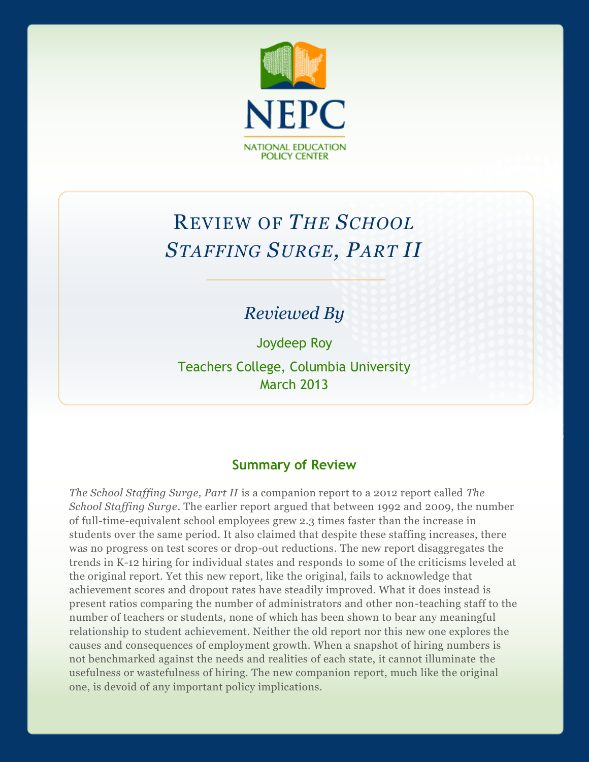

# REVIEW OF *THE SCHOOL STAFFING SURGE, PART II*

## *Reviewed By*

Joydeep Roy

Teachers College, Columbia University March 2013

## **Summary of Review**

*The School Staffing Surge, Part II* is a companion report to a 2012 report called *The School Staffing Surge*. The earlier report argued that between 1992 and 2009, the number of full-time-equivalent school employees grew 2.3 times faster than the increase in students over the same period. It also claimed that despite these staffing increases, there was no progress on test scores or drop-out reductions. The new report disaggregates the trends in K-12 hiring for individual states and responds to some of the criticisms leveled at the original report. Yet this new report, like the original, fails to acknowledge that achievement scores and dropout rates have steadily improved. What it does instead is present ratios comparing the number of administrators and other non-teaching staff to the number of teachers or students, none of which has been shown to bear any meaningful relationship to student achievement. Neither the old report nor this new one explores the causes and consequences of employment growth. When a snapshot of hiring numbers is not benchmarked against the needs and realities of each state, it cannot illuminate the usefulness or wastefulness of hiring. The new companion report, much like the original one, is devoid of any important policy implications.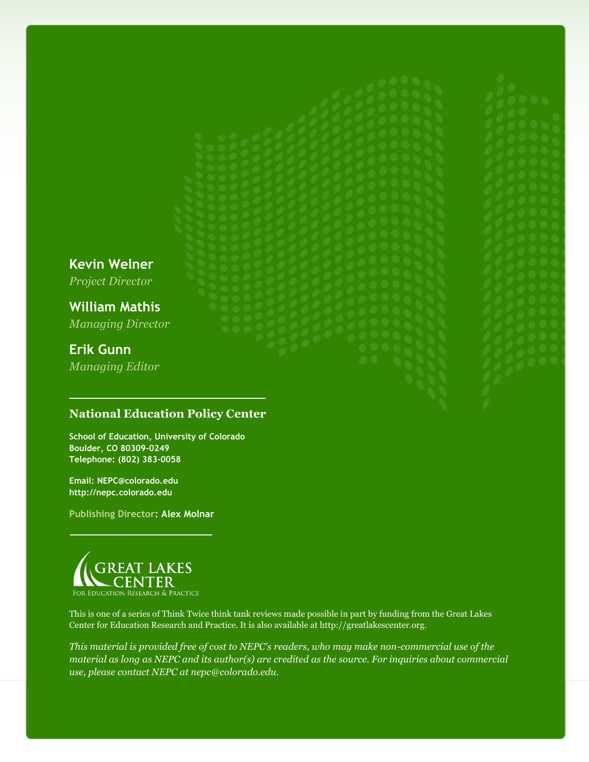**Kevin Welner** *Project Director* **William Mathis** *Managing Director* **Erik Gunn** *Managing Editor*

**National Education Policy Center**

**School of Education, University of Colorado Boulder, CO 80309-0249 Telephone: (802) 383-0058**

**Email: NEPC@colorado.edu http://nepc.colorado.edu**

**Publishing Director: Alex Molnar**



This is one of a series of Think Twice think tank reviews made possible in part by funding from the Great Lakes Center for Education Research and Practice. It is also available at http://greatlakescenter.org.

*This material is provided free of cost to NEPC's readers, who may make non-commercial use of the material as long as NEPC and its author(s) are credited as the source. For inquiries about commercial use, please contact NEPC at nepc@colorado.edu.*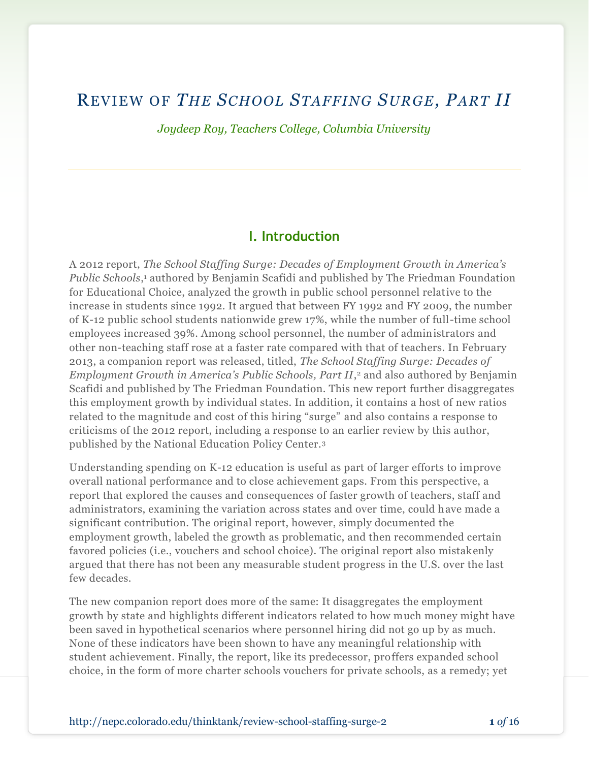## REVIEW OF *THE SCHOOL STAFFING SURGE, PART II*

*Joydeep Roy, Teachers College, Columbia University*

## **I. Introduction**

A 2012 report, *The School Staffing Surge: Decades of Employment Growth in America's*  Public Schools,<sup>1</sup> authored by Benjamin Scafidi and published by The Friedman Foundation for Educational Choice, analyzed the growth in public school personnel relative to the increase in students since 1992. It argued that between FY 1992 and FY 2009, the number of K-12 public school students nationwide grew 17%, while the number of full-time school employees increased 39%. Among school personnel, the number of administrators and other non-teaching staff rose at a faster rate compared with that of teachers. In February 2013, a companion report was released, titled, *The School Staffing Surge: Decades of Employment Growth in America's Public Schools, Part II*, <sup>2</sup> and also authored by Benjamin Scafidi and published by The Friedman Foundation. This new report further disaggregates this employment growth by individual states. In addition, it contains a host of new ratios related to the magnitude and cost of this hiring "surge" and also contains a response to criticisms of the 2012 report, including a response to an earlier review by this author, published by the National Education Policy Center.<sup>3</sup>

Understanding spending on K-12 education is useful as part of larger efforts to improve overall national performance and to close achievement gaps. From this perspective, a report that explored the causes and consequences of faster growth of teachers, staff and administrators, examining the variation across states and over time, could have made a significant contribution. The original report, however, simply documented the employment growth, labeled the growth as problematic, and then recommended certain favored policies (i.e., vouchers and school choice). The original report also mistakenly argued that there has not been any measurable student progress in the U.S. over the last few decades.

The new companion report does more of the same: It disaggregates the employment growth by state and highlights different indicators related to how much money might have been saved in hypothetical scenarios where personnel hiring did not go up by as much. None of these indicators have been shown to have any meaningful relationship with student achievement. Finally, the report, like its predecessor, proffers expanded school choice, in the form of more charter schools vouchers for private schools, as a remedy; yet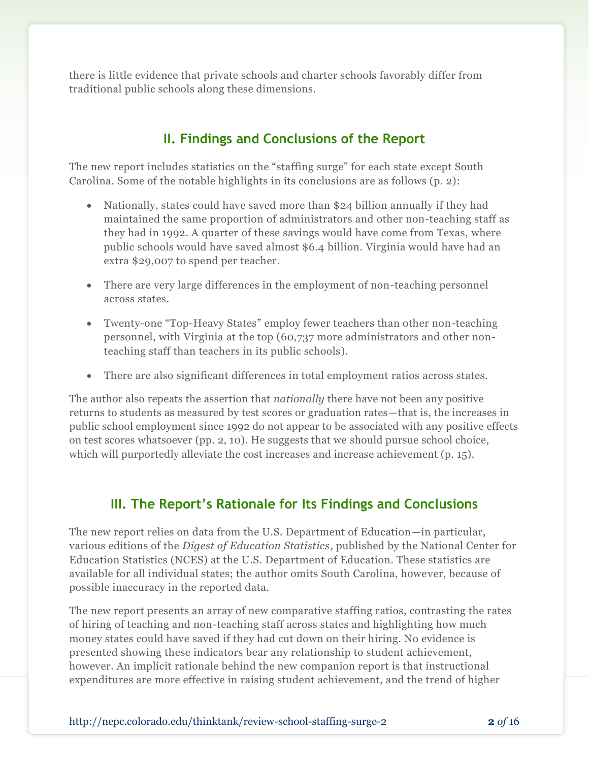there is little evidence that private schools and charter schools favorably differ from traditional public schools along these dimensions.

## **II. Findings and Conclusions of the Report**

The new report includes statistics on the "staffing surge" for each state except South Carolina. Some of the notable highlights in its conclusions are as follows (p. 2):

- Nationally, states could have saved more than \$24 billion annually if they had maintained the same proportion of administrators and other non-teaching staff as they had in 1992. A quarter of these savings would have come from Texas, where public schools would have saved almost \$6.4 billion. Virginia would have had an extra \$29,007 to spend per teacher*.*
- There are very large differences in the employment of non-teaching personnel across states.
- Twenty-one "Top-Heavy States" employ fewer teachers than other non-teaching personnel, with Virginia at the top (60,737 more administrators and other nonteaching staff than teachers in its public schools).
- There are also significant differences in total employment ratios across states.

The author also repeats the assertion that *nationally* there have not been any positive returns to students as measured by test scores or graduation rates—that is, the increases in public school employment since 1992 do not appear to be associated with any positive effects on test scores whatsoever (pp. 2, 10). He suggests that we should pursue school choice, which will purportedly alleviate the cost increases and increase achievement (p. 15).

## **III. The Report's Rationale for Its Findings and Conclusions**

The new report relies on data from the U.S. Department of Education—in particular, various editions of the *Digest of Education Statistics*, published by the National Center for Education Statistics (NCES) at the U.S. Department of Education. These statistics are available for all individual states; the author omits South Carolina, however, because of possible inaccuracy in the reported data.

The new report presents an array of new comparative staffing ratios, contrasting the rates of hiring of teaching and non-teaching staff across states and highlighting how much money states could have saved if they had cut down on their hiring. No evidence is presented showing these indicators bear any relationship to student achievement, however. An implicit rationale behind the new companion report is that instructional expenditures are more effective in raising student achievement, and the trend of higher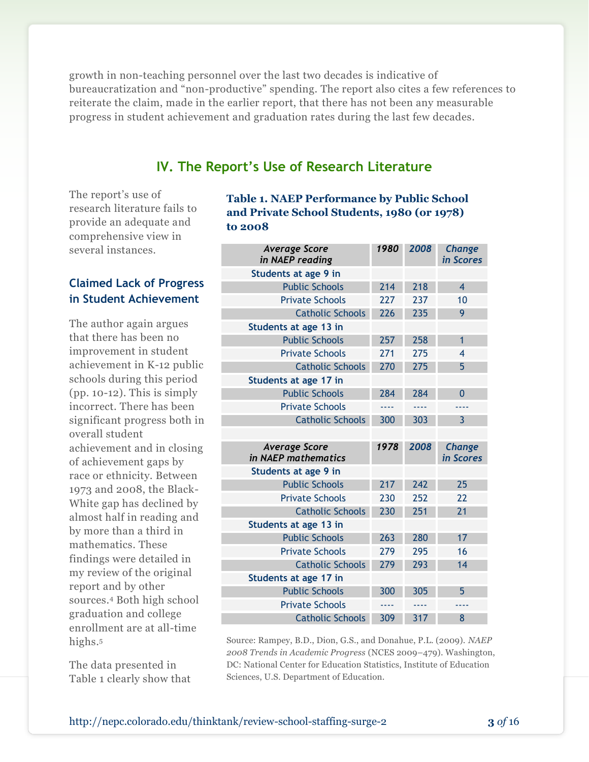growth in non-teaching personnel over the last two decades is indicative of bureaucratization and "non-productive" spending. The report also cites a few references to reiterate the claim, made in the earlier report, that there has not been any measurable progress in student achievement and graduation rates during the last few decades.

## **IV. The Report's Use of Research Literature**

The report's use of research literature fails to provide an adequate and comprehensive view in several instances.

## **Claimed Lack of Progress in Student Achievement**

The author again argues that there has been no improvement in student achievement in K-12 public schools during this period  $(pp. 10-12)$ . This is simply incorrect. There has been significant progress both in overall student achievement and in closing of achievement gaps by race or ethnicity. Between 1973 and 2008, the Black-White gap has declined by almost half in reading and by more than a third in mathematics. These findings were detailed in my review of the original report and by other sources.<sup>4</sup> Both high school graduation and college enrollment are at all-time highs.<sup>5</sup>

The data presented in Table 1 clearly show that **Table 1. NAEP Performance by Public School and Private School Students, 1980 (or 1978) to 2008**

| <b>Average Score</b><br>in NAEP reading     | 1980 | 2008 | Change<br>in Scores        |
|---------------------------------------------|------|------|----------------------------|
| Students at age 9 in                        |      |      |                            |
| <b>Public Schools</b>                       | 214  | 218  | $\overline{\mathbf{4}}$    |
| <b>Private Schools</b>                      | 227  | 237  | 10                         |
| <b>Catholic Schools</b>                     | 226  | 235  | 9                          |
| Students at age 13 in                       |      |      |                            |
| <b>Public Schools</b>                       | 257  | 258  | $\mathbf{1}$               |
| <b>Private Schools</b>                      | 271  | 275  | 4                          |
| <b>Catholic Schools</b>                     | 270  | 275  | 5                          |
| Students at age 17 in                       |      |      |                            |
| <b>Public Schools</b>                       | 284  | 284  | $\overline{0}$             |
| <b>Private Schools</b>                      | ---- | 2222 | ----                       |
| <b>Catholic Schools</b>                     | 300  | 303  | $\overline{3}$             |
|                                             |      |      |                            |
|                                             |      |      |                            |
| <b>Average Score</b><br>in NAEP mathematics | 1978 | 2008 | <b>Change</b><br>in Scores |
| Students at age 9 in                        |      |      |                            |
| <b>Public Schools</b>                       | 217  | 242  | 25                         |
| <b>Private Schools</b>                      | 230  | 252  | 22                         |
| <b>Catholic Schools</b>                     | 230  | 251  | 21                         |
| Students at age 13 in                       |      |      |                            |
| <b>Public Schools</b>                       | 263  | 280  | 17                         |
| <b>Private Schools</b>                      | 279  | 295  | 16                         |
| <b>Catholic Schools</b>                     | 279  | 293  | 14                         |
| Students at age 17 in                       |      |      |                            |
| <b>Public Schools</b>                       | 300  | 305  | 5                          |
| <b>Private Schools</b>                      | ---- | ---- | ----                       |

Source: Rampey, B.D., Dion, G.S., and Donahue, P.L. (2009). *NAEP 2008 Trends in Academic Progress* (NCES 2009–479). Washington, DC: National Center for Education Statistics, Institute of Education Sciences, U.S. Department of Education.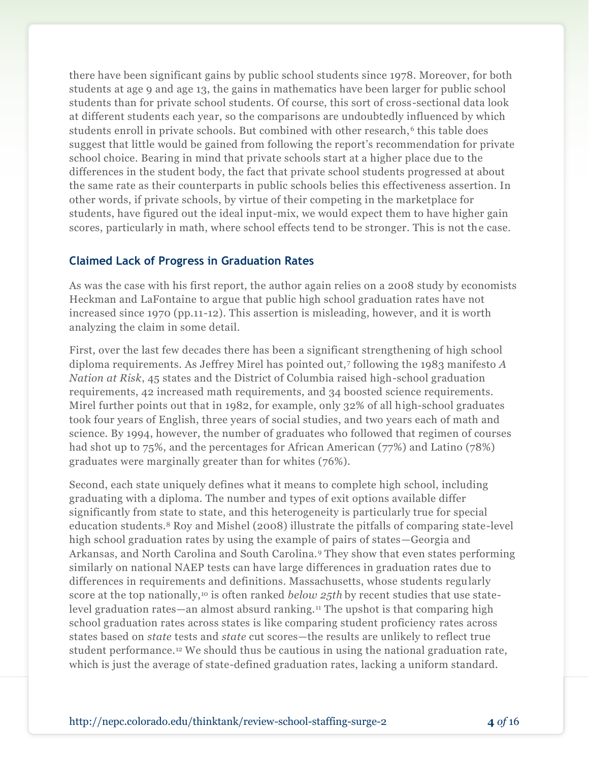there have been significant gains by public school students since 1978. Moreover, for both students at age 9 and age 13, the gains in mathematics have been larger for public school students than for private school students. Of course, this sort of cross-sectional data look at different students each year, so the comparisons are undoubtedly influenced by which students enroll in private schools. But combined with other research,<sup>6</sup> this table does suggest that little would be gained from following the report's recommendation for private school choice. Bearing in mind that private schools start at a higher place due to the differences in the student body, the fact that private school students progressed at about the same rate as their counterparts in public schools belies this effectiveness assertion. In other words, if private schools, by virtue of their competing in the marketplace for students, have figured out the ideal input-mix, we would expect them to have higher gain scores, particularly in math, where school effects tend to be stronger. This is not the case.

#### **Claimed Lack of Progress in Graduation Rates**

As was the case with his first report, the author again relies on a 2008 study by economists Heckman and LaFontaine to argue that public high school graduation rates have not increased since 1970 (pp.11-12). This assertion is misleading, however, and it is worth analyzing the claim in some detail.

First, over the last few decades there has been a significant strengthening of high school diploma requirements. As Jeffrey Mirel has pointed out,<sup>7</sup> following the 1983 manifesto *A Nation at Risk*, 45 states and the District of Columbia raised high-school graduation requirements, 42 increased math requirements, and 34 boosted science requirements. Mirel further points out that in 1982, for example, only 32% of all high-school graduates took four years of English, three years of social studies, and two years each of math and science. By 1994, however, the number of graduates who followed that regimen of courses had shot up to 75%, and the percentages for African American (77%) and Latino (78%) graduates were marginally greater than for whites (76%).

Second, each state uniquely defines what it means to complete high school, including graduating with a diploma. The number and types of exit options available differ significantly from state to state, and this heterogeneity is particularly true for special education students.<sup>8</sup> Roy and Mishel (2008) illustrate the pitfalls of comparing state-level high school graduation rates by using the example of pairs of states—Georgia and Arkansas, and North Carolina and South Carolina.<sup>9</sup> They show that even states performing similarly on national NAEP tests can have large differences in graduation rates due to differences in requirements and definitions. Massachusetts, whose students regularly score at the top nationally,<sup>10</sup> is often ranked *below 25th* by recent studies that use statelevel graduation rates—an almost absurd ranking.<sup>11</sup> The upshot is that comparing high school graduation rates across states is like comparing student proficiency rates across states based on *state* tests and *state* cut scores—the results are unlikely to reflect true student performance.<sup>12</sup> We should thus be cautious in using the national graduation rate, which is just the average of state-defined graduation rates, lacking a uniform standard.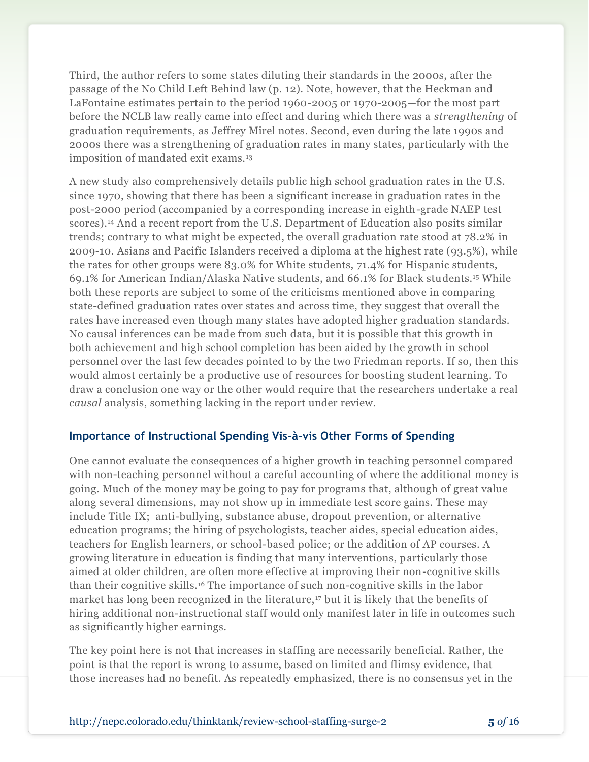Third, the author refers to some states diluting their standards in the 2000s, after the passage of the No Child Left Behind law (p. 12). Note, however, that the Heckman and LaFontaine estimates pertain to the period 1960-2005 or 1970-2005—for the most part before the NCLB law really came into effect and during which there was a *strengthening* of graduation requirements, as Jeffrey Mirel notes. Second, even during the late 1990s and 2000s there was a strengthening of graduation rates in many states, particularly with the imposition of mandated exit exams.<sup>13</sup>

A new study also comprehensively details public high school graduation rates in the U.S. since 1970, showing that there has been a significant increase in graduation rates in the post-2000 period (accompanied by a corresponding increase in eighth-grade NAEP test scores).<sup>14</sup> And a recent report from the U.S. Department of Education also posits similar trends; contrary to what might be expected, the overall graduation rate stood at 78.2% in 2009-10. Asians and Pacific Islanders received a diploma at the highest rate (93.5%), while the rates for other groups were 83.0% for White students, 71.4% for Hispanic students, 69.1% for American Indian/Alaska Native students, and 66.1% for Black students.<sup>15</sup> While both these reports are subject to some of the criticisms mentioned above in comparing state-defined graduation rates over states and across time, they suggest that overall the rates have increased even though many states have adopted higher graduation standards. No causal inferences can be made from such data, but it is possible that this growth in both achievement and high school completion has been aided by the growth in school personnel over the last few decades pointed to by the two Friedman reports. If so, then this would almost certainly be a productive use of resources for boosting student learning. To draw a conclusion one way or the other would require that the researchers undertake a real *causal* analysis, something lacking in the report under review.

## **Importance of Instructional Spending Vis-à-vis Other Forms of Spending**

One cannot evaluate the consequences of a higher growth in teaching personnel compared with non-teaching personnel without a careful accounting of where the additional money is going. Much of the money may be going to pay for programs that, although of great value along several dimensions, may not show up in immediate test score gains. These may include Title IX; anti-bullying, substance abuse, dropout prevention, or alternative education programs; the hiring of psychologists, teacher aides, special education aides, teachers for English learners, or school-based police; or the addition of AP courses. A growing literature in education is finding that many interventions, particularly those aimed at older children, are often more effective at improving their non-cognitive skills than their cognitive skills.<sup>16</sup> The importance of such non-cognitive skills in the labor market has long been recognized in the literature,<sup>17</sup> but it is likely that the benefits of hiring additional non-instructional staff would only manifest later in life in outcomes such as significantly higher earnings.

The key point here is not that increases in staffing are necessarily beneficial. Rather, the point is that the report is wrong to assume, based on limited and flimsy evidence, that those increases had no benefit. As repeatedly emphasized, there is no consensus yet in the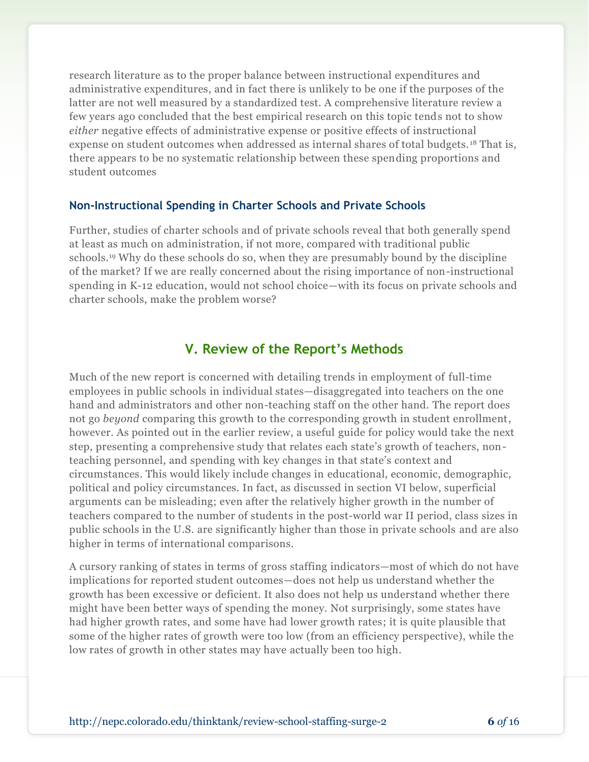research literature as to the proper balance between instructional expenditures and administrative expenditures, and in fact there is unlikely to be one if the purposes of the latter are not well measured by a standardized test. A comprehensive literature review a few years ago concluded that the best empirical research on this topic tends not to show *either* negative effects of administrative expense or positive effects of instructional expense on student outcomes when addressed as internal shares of total budgets. <sup>18</sup> That is, there appears to be no systematic relationship between these spending proportions and student outcomes

#### **Non-Instructional Spending in Charter Schools and Private Schools**

Further, studies of charter schools and of private schools reveal that both generally spend at least as much on administration, if not more, compared with traditional public schools.<sup>19</sup> Why do these schools do so, when they are presumably bound by the discipline of the market? If we are really concerned about the rising importance of non-instructional spending in K-12 education, would not school choice—with its focus on private schools and charter schools, make the problem worse?

### **V. Review of the Report's Methods**

Much of the new report is concerned with detailing trends in employment of full-time employees in public schools in individual states—disaggregated into teachers on the one hand and administrators and other non-teaching staff on the other hand. The report does not go *beyond* comparing this growth to the corresponding growth in student enrollment, however. As pointed out in the earlier review, a useful guide for policy would take the next step, presenting a comprehensive study that relates each state's growth of teachers, nonteaching personnel, and spending with key changes in that state's context and circumstances. This would likely include changes in educational, economic, demographic, political and policy circumstances. In fact, as discussed in section VI below, superficial arguments can be misleading; even after the relatively higher growth in the number of teachers compared to the number of students in the post-world war II period, class sizes in public schools in the U.S. are significantly higher than those in private schools and are also higher in terms of international comparisons.

A cursory ranking of states in terms of gross staffing indicators—most of which do not have implications for reported student outcomes—does not help us understand whether the growth has been excessive or deficient. It also does not help us understand whether there might have been better ways of spending the money. Not surprisingly, some states have had higher growth rates, and some have had lower growth rates; it is quite plausible that some of the higher rates of growth were too low (from an efficiency perspective), while the low rates of growth in other states may have actually been too high.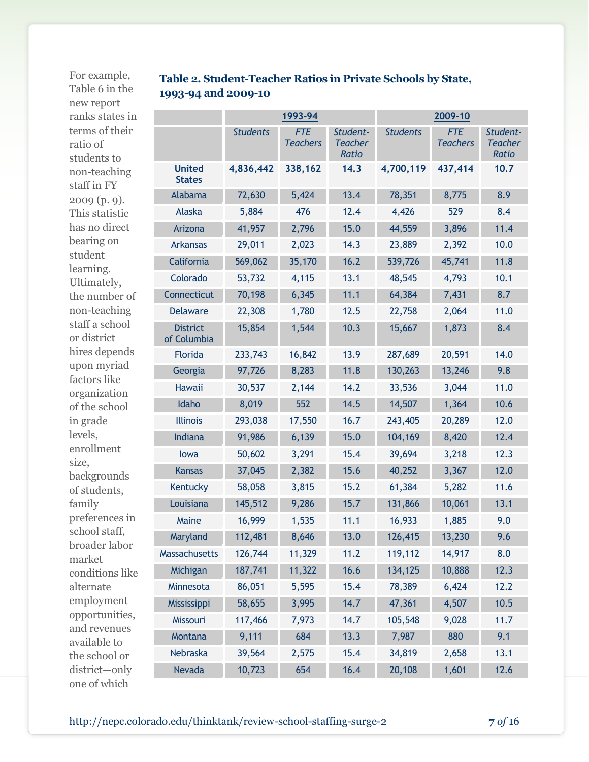For example, Table 6 in the new report ranks states in terms of their ratio of students to non-teaching staff in FY 2009 (p. 9). This statistic has no direct bearing on student learning. Ultimately, the number of non-teaching staff a school or district hires depends upon myriad factors like organization of the school in grade levels, enrollment size, backgrounds of students, family preferences in school staff, broader labor market conditions like alternate employment opportunities, and revenues available to the school or district—only one of which

## **Table 2. Student-Teacher Ratios in Private Schools by State, 1993-94 and 2009-10**

|                                | 1993-94         |                               |                                            | 2009-10         |                               |                                            |  |
|--------------------------------|-----------------|-------------------------------|--------------------------------------------|-----------------|-------------------------------|--------------------------------------------|--|
|                                | <b>Students</b> | <b>FTE</b><br><b>Teachers</b> | Student-<br><b>Teacher</b><br><b>Ratio</b> | <b>Students</b> | <b>FTE</b><br><b>Teachers</b> | Student-<br><b>Teacher</b><br><b>Ratio</b> |  |
| <b>United</b><br><b>States</b> | 4,836,442       | 338,162                       | 14.3                                       | 4,700,119       | 437,414                       | 10.7                                       |  |
| Alabama                        | 72,630          | 5,424                         | 13.4                                       | 78,351          | 8,775                         | 8.9                                        |  |
| Alaska                         | 5,884           | 476                           | 12.4                                       | 4,426           | 529                           | 8.4                                        |  |
| Arizona                        | 41,957          | 2,796                         | 15.0                                       | 44,559          | 3,896                         | 11.4                                       |  |
| <b>Arkansas</b>                | 29,011          | 2,023                         | 14.3                                       | 23,889          | 2,392                         | 10.0                                       |  |
| California                     | 569,062         | 35,170                        | 16.2                                       | 539,726         | 45,741                        | 11.8                                       |  |
| Colorado                       | 53,732          | 4,115                         | 13.1                                       | 48,545          | 4,793                         | 10.1                                       |  |
| Connecticut                    | 70,198          | 6,345                         | 11.1                                       | 64,384          | 7,431                         | 8.7                                        |  |
| <b>Delaware</b>                | 22,308          | 1,780                         | 12.5                                       | 22,758          | 2,064                         | 11.0                                       |  |
| <b>District</b><br>of Columbia | 15,854          | 1,544                         | 10.3                                       | 15,667          | 1,873                         | 8.4                                        |  |
| Florida                        | 233,743         | 16,842                        | 13.9                                       | 287,689         | 20,591                        | 14.0                                       |  |
| Georgia                        | 97,726          | 8,283                         | 11.8                                       | 130,263         | 13,246                        | 9.8                                        |  |
| <b>Hawaii</b>                  | 30,537          | 2,144                         | 14.2                                       | 33,536          | 3,044                         | 11.0                                       |  |
| Idaho                          | 8,019           | 552                           | 14.5                                       | 14,507          | 1,364                         | 10.6                                       |  |
| <b>Illinois</b>                | 293,038         | 17,550                        | 16.7                                       | 243,405         | 20,289                        | 12.0                                       |  |
| Indiana                        | 91,986          | 6,139                         | 15.0                                       | 104,169         | 8,420                         | 12.4                                       |  |
| lowa                           | 50,602          | 3,291                         | 15.4                                       | 39,694          | 3,218                         | 12.3                                       |  |
| <b>Kansas</b>                  | 37,045          | 2,382                         | 15.6                                       | 40,252          | 3,367                         | 12.0                                       |  |
| Kentucky                       | 58,058          | 3,815                         | 15.2                                       | 61,384          | 5,282                         | 11.6                                       |  |
| Louisiana                      | 145,512         | 9,286                         | 15.7                                       | 131,866         | 10,061                        | 13.1                                       |  |
| Maine                          | 16,999          | 1,535                         | 11.1                                       | 16,933          | 1,885                         | 9.0                                        |  |
| Maryland                       | 112,481         | 8,646                         | 13.0                                       | 126,415         | 13,230                        | 9.6                                        |  |
| Massachusetts                  | 126,744         | 11,329                        | 11.2                                       | 119,112         | 14,917                        | 8.0                                        |  |
| Michigan                       | 187,741         | 11,322                        | 16.6                                       | 134,125         | 10,888                        | 12.3                                       |  |
| Minnesota                      | 86,051          | 5,595                         | 15.4                                       | 78,389          | 6,424                         | 12.2                                       |  |
| Mississippi                    | 58,655          | 3,995                         | 14.7                                       | 47,361          | 4,507                         | 10.5                                       |  |
| Missouri                       | 117,466         | 7,973                         | 14.7                                       | 105,548         | 9,028                         | 11.7                                       |  |
| Montana                        | 9,111           | 684                           | 13.3                                       | 7,987           | 880                           | 9.1                                        |  |
| Nebraska                       | 39,564          | 2,575                         | 15.4                                       | 34,819          | 2,658                         | 13.1                                       |  |
| Nevada                         | 10,723          | 654                           | 16.4                                       | 20,108          | 1,601                         | 12.6                                       |  |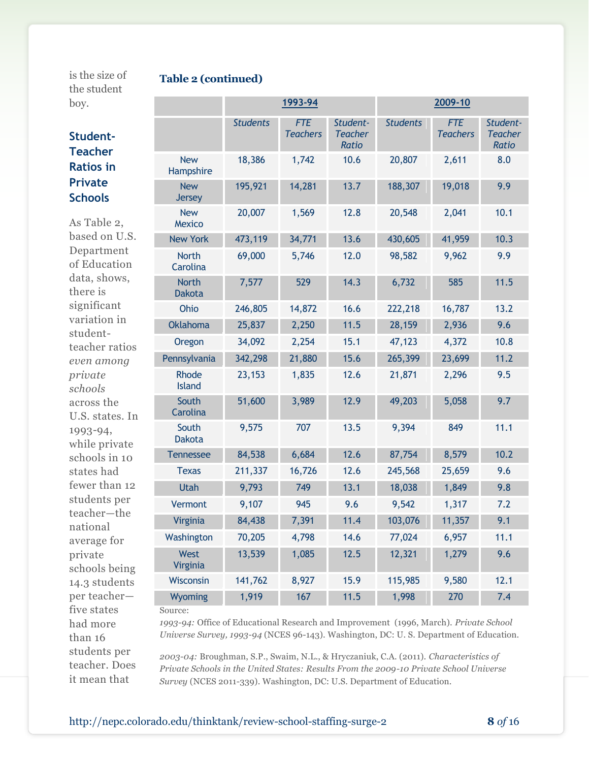is the size of the student boy.

#### **Table 2 (continued)**

| un buuun |
|----------|
| boy.     |
|          |

had more

| boy.                                                              |                               | 1993-94         |                               |                                     | 2009-10         |                               |                                     |
|-------------------------------------------------------------------|-------------------------------|-----------------|-------------------------------|-------------------------------------|-----------------|-------------------------------|-------------------------------------|
| Student-<br><b>Teacher</b>                                        |                               | <b>Students</b> | <b>FTE</b><br><b>Teachers</b> | Student-<br><b>Teacher</b><br>Ratio | <b>Students</b> | <b>FTE</b><br><b>Teachers</b> | Student-<br><b>Teacher</b><br>Ratio |
| <b>Ratios in</b><br><b>Private</b><br><b>Schools</b>              | <b>New</b><br>Hampshire       | 18,386          | 1,742                         | 10.6                                | 20,807          | 2,611                         | 8.0                                 |
|                                                                   | <b>New</b><br><b>Jersey</b>   | 195,921         | 14,281                        | 13.7                                | 188,307         | 19,018                        | 9.9                                 |
| As Table 2,                                                       | <b>New</b><br>Mexico          | 20,007          | 1,569                         | 12.8                                | 20,548          | 2,041                         | 10.1                                |
| based on U.S.                                                     | <b>New York</b>               | 473,119         | 34,771                        | 13.6                                | 430,605         | 41,959                        | 10.3                                |
| Department<br>of Education<br>data, shows,<br>there is            | <b>North</b><br>Carolina      | 69,000          | 5,746                         | 12.0                                | 98,582          | 9,962                         | 9.9                                 |
|                                                                   | <b>North</b><br><b>Dakota</b> | 7,577           | 529                           | 14.3                                | 6,732           | 585                           | 11.5                                |
| significant                                                       | Ohio                          | 246,805         | 14,872                        | 16.6                                | 222,218         | 16,787                        | 13.2                                |
| variation in<br>student-                                          | <b>Oklahoma</b>               | 25,837          | 2,250                         | 11.5                                | 28,159          | 2,936                         | 9.6                                 |
| teacher ratios                                                    | Oregon                        | 34,092          | 2,254                         | 15.1                                | 47,123          | 4,372                         | 10.8                                |
| even among<br>private<br>schools<br>across the<br>U.S. states. In | Pennsylvania                  | 342,298         | 21,880                        | 15.6                                | 265,399         | 23,699                        | 11.2                                |
|                                                                   | Rhode<br><b>Island</b>        | 23,153          | 1,835                         | 12.6                                | 21,871          | 2,296                         | 9.5                                 |
|                                                                   | South<br>Carolina             | 51,600          | 3,989                         | 12.9                                | 49,203          | 5,058                         | 9.7                                 |
| 1993-94,<br>while private                                         | South<br><b>Dakota</b>        | 9,575           | 707                           | 13.5                                | 9,394           | 849                           | 11.1                                |
| schools in 10                                                     | <b>Tennessee</b>              | 84,538          | 6,684                         | 12.6                                | 87,754          | 8,579                         | 10.2                                |
| states had<br>fewer than 12<br>students per                       | <b>Texas</b>                  | 211,337         | 16,726                        | 12.6                                | 245,568         | 25,659                        | 9.6                                 |
|                                                                   | Utah                          | 9,793           | 749                           | 13.1                                | 18,038          | 1,849                         | 9.8                                 |
|                                                                   | Vermont                       | 9,107           | 945                           | 9.6                                 | 9,542           | 1,317                         | 7.2                                 |
| teacher-the<br>national                                           | Virginia                      | 84,438          | 7,391                         | 11.4                                | 103,076         | 11,357                        | 9.1                                 |
| average for                                                       | Washington                    | 70,205          | 4,798                         | 14.6                                | 77,024          | 6,957                         | 11.1                                |
| private<br>schools being                                          | West<br>Virginia              | 13,539          | 1,085                         | 12.5                                | 12,321          | 1,279                         | 9.6                                 |
| 14.3 students                                                     | Wisconsin                     | 141,762         | 8,927                         | 15.9                                | 115,985         | 9,580                         | 12.1                                |
| per teacher-<br>five states                                       | Wyoming<br>Source:            | 1,919           | 167                           | 11.5                                | 1,998           | 270                           | 7.4                                 |

Source:

*1993-94:* Office of Educational Research and Improvement (1996, March). *Private School Universe Survey, 1993-94* (NCES 96-143). Washington, DC: U. S. Department of Education.

*2003-04:* Broughman, S.P., Swaim, N.L., & Hryczaniuk, C.A. (2011). *Characteristics of Private Schools in the United States: Results From the 2009-10 Private School Universe Survey* (NCES 2011-339). Washington, DC: U.S. Department of Education.

than 16 students per teacher. Does it mean that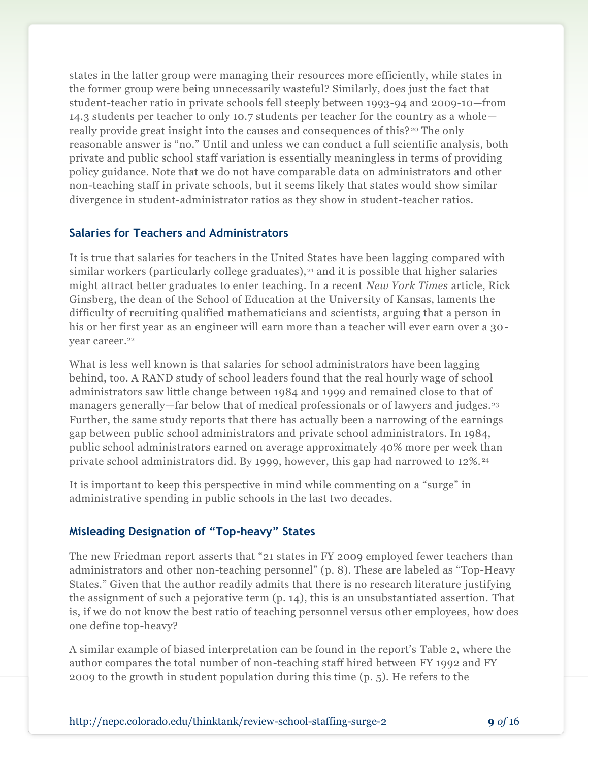states in the latter group were managing their resources more efficiently, while states in the former group were being unnecessarily wasteful? Similarly, does just the fact that student-teacher ratio in private schools fell steeply between 1993-94 and 2009-10—from 14.3 students per teacher to only 10.7 students per teacher for the country as a whole really provide great insight into the causes and consequences of this?<sup>20</sup> The only reasonable answer is "no." Until and unless we can conduct a full scientific analysis, both private and public school staff variation is essentially meaningless in terms of providing policy guidance. Note that we do not have comparable data on administrators and other non-teaching staff in private schools, but it seems likely that states would show similar divergence in student-administrator ratios as they show in student-teacher ratios.

#### **Salaries for Teachers and Administrators**

It is true that salaries for teachers in the United States have been lagging compared with similar workers (particularly college graduates),<sup>21</sup> and it is possible that higher salaries might attract better graduates to enter teaching. In a recent *New York Times* article, Rick Ginsberg, the dean of the School of Education at the University of Kansas, laments the difficulty of recruiting qualified mathematicians and scientists, arguing that a person in his or her first year as an engineer will earn more than a teacher will ever earn over a 30 year career.<sup>22</sup>

What is less well known is that salaries for school administrators have been lagging behind, too. A RAND study of school leaders found that the real hourly wage of school administrators saw little change between 1984 and 1999 and remained close to that of managers generally—far below that of medical professionals or of lawyers and judges.<sup>23</sup> Further, the same study reports that there has actually been a narrowing of the earnings gap between public school administrators and private school administrators. In 1984, public school administrators earned on average approximately 40% more per week than private school administrators did. By 1999, however, this gap had narrowed to 12%. <sup>24</sup>

It is important to keep this perspective in mind while commenting on a "surge" in administrative spending in public schools in the last two decades.

#### **Misleading Designation of "Top-heavy" States**

The new Friedman report asserts that "21 states in FY 2009 employed fewer teachers than administrators and other non-teaching personnel" (p. 8). These are labeled as "Top-Heavy States." Given that the author readily admits that there is no research literature justifying the assignment of such a pejorative term (p. 14), this is an unsubstantiated assertion. That is, if we do not know the best ratio of teaching personnel versus other employees, how does one define top-heavy?

A similar example of biased interpretation can be found in the report's Table 2, where the author compares the total number of non-teaching staff hired between FY 1992 and FY 2009 to the growth in student population during this time (p. 5). He refers to the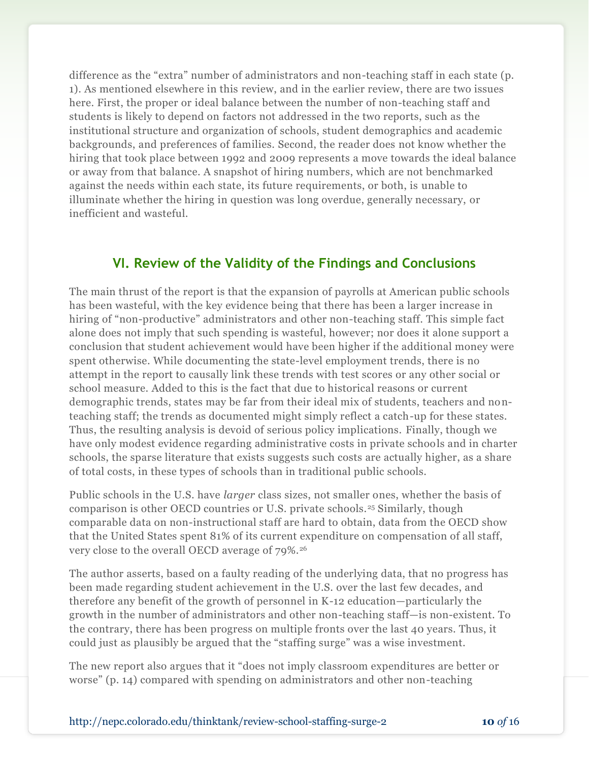difference as the "extra" number of administrators and non-teaching staff in each state (p. 1). As mentioned elsewhere in this review, and in the earlier review, there are two issues here. First, the proper or ideal balance between the number of non-teaching staff and students is likely to depend on factors not addressed in the two reports, such as the institutional structure and organization of schools, student demographics and academic backgrounds, and preferences of families. Second, the reader does not know whether the hiring that took place between 1992 and 2009 represents a move towards the ideal balance or away from that balance. A snapshot of hiring numbers, which are not benchmarked against the needs within each state, its future requirements, or both, is unable to illuminate whether the hiring in question was long overdue, generally necessary, or inefficient and wasteful.

## **VI. Review of the Validity of the Findings and Conclusions**

The main thrust of the report is that the expansion of payrolls at American public schools has been wasteful, with the key evidence being that there has been a larger increase in hiring of "non-productive" administrators and other non-teaching staff. This simple fact alone does not imply that such spending is wasteful, however; nor does it alone support a conclusion that student achievement would have been higher if the additional money were spent otherwise. While documenting the state-level employment trends, there is no attempt in the report to causally link these trends with test scores or any other social or school measure. Added to this is the fact that due to historical reasons or current demographic trends, states may be far from their ideal mix of students, teachers and nonteaching staff; the trends as documented might simply reflect a catch-up for these states. Thus, the resulting analysis is devoid of serious policy implications. Finally, though we have only modest evidence regarding administrative costs in private schools and in charter schools, the sparse literature that exists suggests such costs are actually higher, as a share of total costs, in these types of schools than in traditional public schools.

Public schools in the U.S. have *larger* class sizes, not smaller ones, whether the basis of comparison is other OECD countries or U.S. private schools.<sup>25</sup> Similarly, though comparable data on non-instructional staff are hard to obtain, data from the OECD show that the United States spent 81% of its current expenditure on compensation of all staff, very close to the overall OECD average of 79%.<sup>26</sup>

The author asserts, based on a faulty reading of the underlying data, that no progress has been made regarding student achievement in the U.S. over the last few decades, and therefore any benefit of the growth of personnel in K-12 education—particularly the growth in the number of administrators and other non-teaching staff—is non-existent. To the contrary, there has been progress on multiple fronts over the last 40 years. Thus, it could just as plausibly be argued that the "staffing surge" was a wise investment.

The new report also argues that it "does not imply classroom expenditures are better or worse" (p. 14) compared with spending on administrators and other non-teaching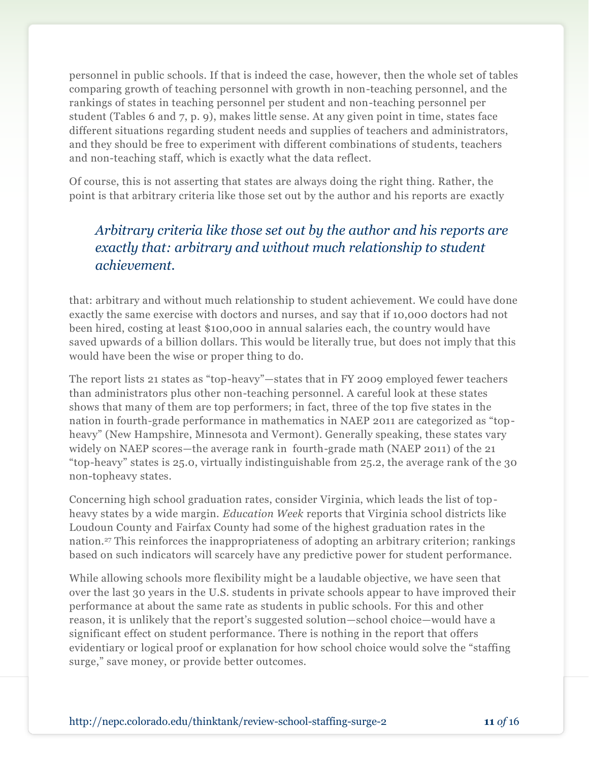personnel in public schools. If that is indeed the case, however, then the whole set of tables comparing growth of teaching personnel with growth in non-teaching personnel, and the rankings of states in teaching personnel per student and non-teaching personnel per student (Tables 6 and 7, p. 9), makes little sense. At any given point in time, states face different situations regarding student needs and supplies of teachers and administrators, and they should be free to experiment with different combinations of students, teachers and non-teaching staff, which is exactly what the data reflect.

Of course, this is not asserting that states are always doing the right thing. Rather, the point is that arbitrary criteria like those set out by the author and his reports are exactly

## *Arbitrary criteria like those set out by the author and his reports are exactly that: arbitrary and without much relationship to student achievement.*

that: arbitrary and without much relationship to student achievement. We could have done exactly the same exercise with doctors and nurses, and say that if 10,000 doctors had not been hired, costing at least \$100,000 in annual salaries each, the country would have saved upwards of a billion dollars. This would be literally true, but does not imply that this would have been the wise or proper thing to do.

The report lists 21 states as "top-heavy"—states that in FY 2009 employed fewer teachers than administrators plus other non-teaching personnel. A careful look at these states shows that many of them are top performers; in fact, three of the top five states in the nation in fourth-grade performance in mathematics in NAEP 2011 are categorized as "topheavy" (New Hampshire, Minnesota and Vermont). Generally speaking, these states vary widely on NAEP scores—the average rank in fourth-grade math (NAEP 2011) of the 21 "top-heavy" states is 25.0, virtually indistinguishable from 25.2, the average rank of the 30 non-topheavy states.

Concerning high school graduation rates, consider Virginia, which leads the list of topheavy states by a wide margin. *Education Week* reports that Virginia school districts like Loudoun County and Fairfax County had some of the highest graduation rates in the nation.<sup>27</sup> This reinforces the inappropriateness of adopting an arbitrary criterion; rankings based on such indicators will scarcely have any predictive power for student performance.

While allowing schools more flexibility might be a laudable objective, we have seen that over the last 30 years in the U.S. students in private schools appear to have improved their performance at about the same rate as students in public schools. For this and other reason, it is unlikely that the report's suggested solution—school choice—would have a significant effect on student performance. There is nothing in the report that offers evidentiary or logical proof or explanation for how school choice would solve the "staffing surge," save money, or provide better outcomes.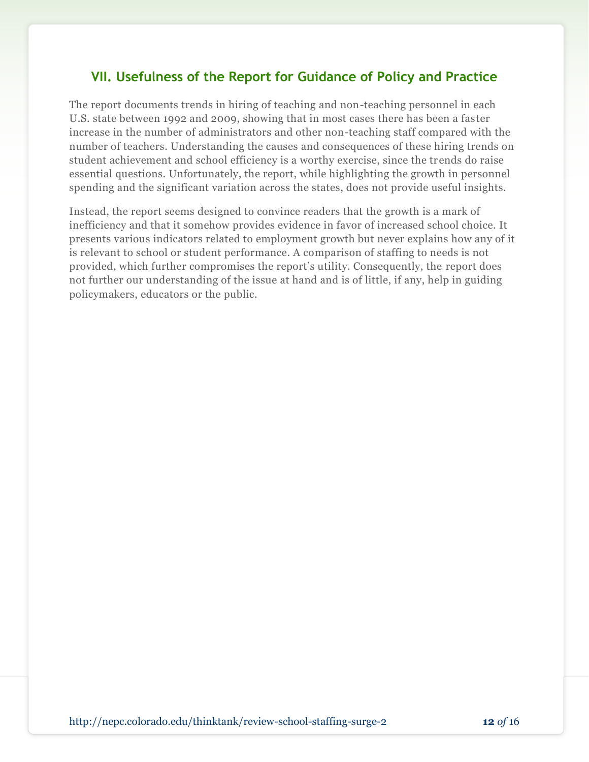## **VII. Usefulness of the Report for Guidance of Policy and Practice**

The report documents trends in hiring of teaching and non-teaching personnel in each U.S. state between 1992 and 2009, showing that in most cases there has been a faster increase in the number of administrators and other non-teaching staff compared with the number of teachers. Understanding the causes and consequences of these hiring trends on student achievement and school efficiency is a worthy exercise, since the trends do raise essential questions. Unfortunately, the report, while highlighting the growth in personnel spending and the significant variation across the states, does not provide useful insights.

Instead, the report seems designed to convince readers that the growth is a mark of inefficiency and that it somehow provides evidence in favor of increased school choice. It presents various indicators related to employment growth but never explains how any of it is relevant to school or student performance. A comparison of staffing to needs is not provided, which further compromises the report's utility. Consequently, the report does not further our understanding of the issue at hand and is of little, if any, help in guiding policymakers, educators or the public.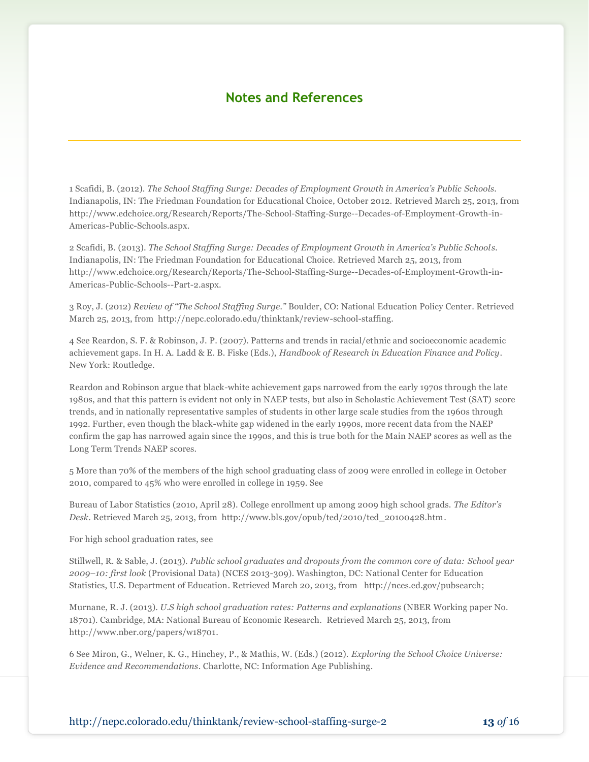## **Notes and References**

1 Scafidi, B. (2012). *The School Staffing Surge: Decades of Employment Growth in America's Public Schools*. Indianapolis, IN: The Friedman Foundation for Educational Choice, October 2012. Retrieved March 25, 2013, from http://www.edchoice.org/Research/Reports/The-School-Staffing-Surge--Decades-of-Employment-Growth-in-Americas-Public-Schools.aspx.

2 Scafidi, B. (2013). *The School Staffing Surge: Decades of Employment Growth in America's Public Schools.*  Indianapolis, IN: The Friedman Foundation for Educational Choice. Retrieved March 25, 2013, from http://www.edchoice.org/Research/Reports/The-School-Staffing-Surge--Decades-of-Employment-Growth-in-Americas-Public-Schools--Part-2.aspx.

3 Roy, J. (2012) *Review of "The School Staffing Surge."* Boulder, CO: National Education Policy Center. Retrieved March 25, 2013, from http://nepc.colorado.edu/thinktank/review-school-staffing.

4 See Reardon, S. F. & Robinson, J. P. (2007). Patterns and trends in racial/ethnic and socioeconomic academic achievement gaps. In H. A. Ladd & E. B. Fiske (Eds.), *Handbook of Research in Education Finance and Policy*. New York: Routledge.

Reardon and Robinson argue that black-white achievement gaps narrowed from the early 1970s through the late 1980s, and that this pattern is evident not only in NAEP tests, but also in Scholastic Achievement Test (SAT) score trends, and in nationally representative samples of students in other large scale studies from the 1960s through 1992. Further, even though the black-white gap widened in the early 1990s, more recent data from the NAEP confirm the gap has narrowed again since the 1990s, and this is true both for the Main NAEP scores as well as the Long Term Trends NAEP scores.

5 More than 70% of the members of the high school graduating class of 2009 were enrolled in college in October 2010, compared to 45% who were enrolled in college in 1959. See

Bureau of Labor Statistics (2010, April 28). College enrollment up among 2009 high school grads. *The Editor's Desk*. Retrieved March 25, 2013, from http://www.bls.gov/opub/ted/2010/ted\_20100428.htm.

For high school graduation rates, see

Stillwell, R. & Sable, J. (2013). *Public school graduates and dropouts from the common core of data: School year 2009–10: first look* (Provisional Data) (NCES 2013-309). Washington, DC: National Center for Education Statistics, U.S. Department of Education. Retrieved March 20, 2013, from http://nces.ed.gov/pubsearch;

Murnane, R. J. (2013). *U.S high school graduation rates: Patterns and explanations* (NBER Working paper No. 18701)*.* Cambridge, MA: National Bureau of Economic Research. Retrieved March 25, 2013, from http://www.nber.org/papers/w18701.

6 See Miron, G., Welner, K. G., Hinchey, P., & Mathis, W. (Eds.) (2012). *Exploring the School Choice Universe: Evidence and Recommendations*. Charlotte, NC: Information Age Publishing.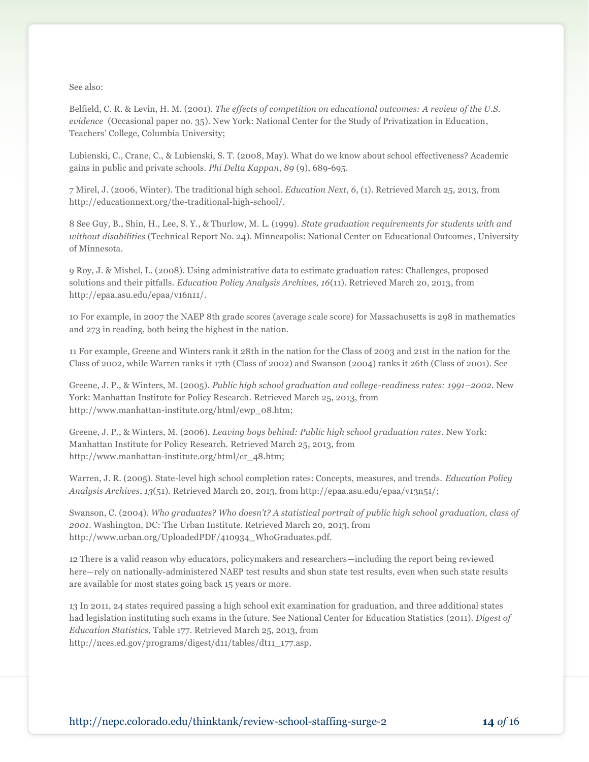See also:

Belfield, C. R. & Levin, H. M. (2001). *The effects of competition on educational outcomes: A review of the U.S. evidence* (Occasional paper no. 35)*.* New York: National Center for the Study of Privatization in Education, Teachers' College, Columbia University;

Lubienski, C., Crane, C., & Lubienski, S. T. (2008, May). What do we know about school effectiveness? Academic gains in public and private schools. *Phi Delta Kappan*, *89* (9), 689-695.

7 Mirel, J. (2006, Winter). The traditional high school. *Education Next*, *6,* (1). Retrieved March 25, 2013, from http://educationnext.org/the-traditional-high-school/.

8 See Guy, B., Shin, H., Lee, S. Y., & Thurlow, M. L. (1999). *State graduation requirements for students with and without disabilities* (Technical Report No. 24). Minneapolis: National Center on Educational Outcomes, University of Minnesota.

9 Roy, J. & Mishel, L. (2008). Using administrative data to estimate graduation rates: Challenges, proposed solutions and their pitfalls. *Education Policy Analysis Archives, 16*(11). Retrieved March 20, 2013, from http://epaa.asu.edu/epaa/v16n11/.

10 For example, in 2007 the NAEP 8th grade scores (average scale score) for Massachusetts is 298 in mathematics and 273 in reading, both being the highest in the nation.

11 For example, Greene and Winters rank it 28th in the nation for the Class of 2003 and 21st in the nation for the Class of 2002, while Warren ranks it 17th (Class of 2002) and Swanson (2004) ranks it 26th (Class of 2001). See

Greene, J. P., & Winters, M. (2005). *Public high school graduation and college-readiness rates: 1991–2002*. New York: Manhattan Institute for Policy Research. Retrieved March 25, 2013, from http://www.manhattan-institute.org/html/ewp\_08.htm;

Greene, J. P., & Winters, M. (2006). *Leaving boys behind: Public high school graduation rates*. New York: Manhattan Institute for Policy Research. Retrieved March 25, 2013, from http://www.manhattan-institute.org/html/cr\_48.htm;

Warren, J. R. (2005). State-level high school completion rates: Concepts, measures, and trends. *Education Policy Analysis Archives*, *13*(51). Retrieved March 20, 2013, from http://epaa.asu.edu/epaa/v13n51/;

Swanson, C. (2004). *Who graduates? Who doesn't? A statistical portrait of public high school graduation, class of 2001*. Washington, DC: The Urban Institute. Retrieved March 20, 2013, from http://www.urban.org/UploadedPDF/410934\_WhoGraduates.pdf.

12 There is a valid reason why educators, policymakers and researchers—including the report being reviewed here—rely on nationally-administered NAEP test results and shun state test results, even when such state results are available for most states going back 15 years or more.

13 In 2011, 24 states required passing a high school exit examination for graduation, and three additional states had legislation instituting such exams in the future. See National Center for Education Statistics (2011). *Digest of Education Statistics,* Table 177. Retrieved March 25, 2013, from http://nces.ed.gov/programs/digest/d11/tables/dt11\_177.asp.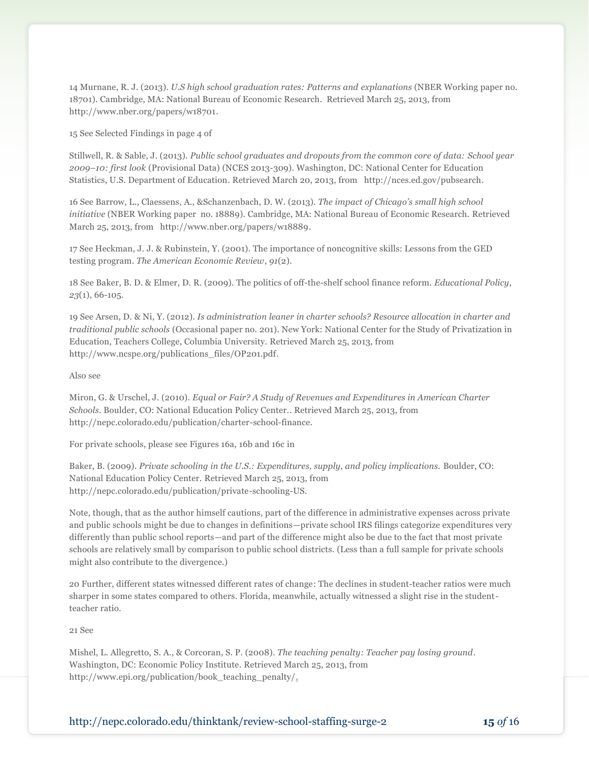14 Murnane, R. J. (2013). *U.S high school graduation rates: Patterns and explanations* (NBER Working paper no. 18701)*.* Cambridge, MA: National Bureau of Economic Research. Retrieved March 25, 2013, from http://www.nber.org/papers/w18701.

15 See Selected Findings in page 4 of

Stillwell, R. & Sable, J. (2013). *Public school graduates and dropouts from the common core of data: School year 2009–10: first look* (Provisional Data) (NCES 2013-309). Washington, DC: National Center for Education Statistics, U.S. Department of Education. Retrieved March 20, 2013, from http://nces.ed.gov/pubsearch.

16 See Barrow, L., Claessens, A., &Schanzenbach, D. W. (2013). *The impact of Chicago's small high school initiative* (NBER Working paper no. 18889). Cambridge, MA: National Bureau of Economic Research. Retrieved March 25, 2013, from http://www.nber.org/papers/w18889.

17 See Heckman, J. J. & Rubinstein, Y. (2001). The importance of noncognitive skills: Lessons from the GED testing program. *The American Economic Review*, *91*(2).

18 See Baker, B. D. & Elmer, D. R. (2009). The politics of off-the-shelf school finance reform. *Educational Policy*, *23*(1), 66-105.

19 See Arsen, D. & Ni, Y. (2012). *Is administration leaner in charter schools? Resource allocation in charter and traditional public schools* (Occasional paper no. 201). New York: National Center for the Study of Privatization in Education, Teachers College, Columbia University. Retrieved March 25, 2013, from http://www.ncspe.org/publications\_files/OP201.pdf.

#### Also see

Miron, G. & Urschel, J. (2010). *Equal or Fair? A Study of Revenues and Expenditures in American Charter Schools.* Boulder, CO: National Education Policy Center.. Retrieved March 25, 2013, from http://nepc.colorado.edu/publication/charter-school-finance.

For private schools, please see Figures 16a, 16b and 16c in

Baker, B. (2009). *Private schooling in the U.S.: Expenditures, supply, and policy implications.* Boulder, CO: National Education Policy Center. Retrieved March 25, 2013, from http://nepc.colorado.edu/publication/private-schooling-US.

Note, though, that as the author himself cautions, part of the difference in administrative expenses across private and public schools might be due to changes in definitions—private school IRS filings categorize expenditures very differently than public school reports—and part of the difference might also be due to the fact that most private schools are relatively small by comparison to public school districts. (Less than a full sample for private schools might also contribute to the divergence.)

20 Further, different states witnessed different rates of change: The declines in student-teacher ratios were much sharper in some states compared to others. Florida, meanwhile, actually witnessed a slight rise in the studentteacher ratio.

#### 21 See

Mishel, L. Allegretto, S. A., & Corcoran, S. P. (2008). *The teaching penalty: Teacher pay losing ground.*  Washington, DC: Economic Policy Institute. Retrieved March 25, 2013, from http://www.epi.org/publication/book\_teaching\_penalty/.

http://nepc.colorado.edu/thinktank/review-school-staffing-surge-2 **15** *of* 16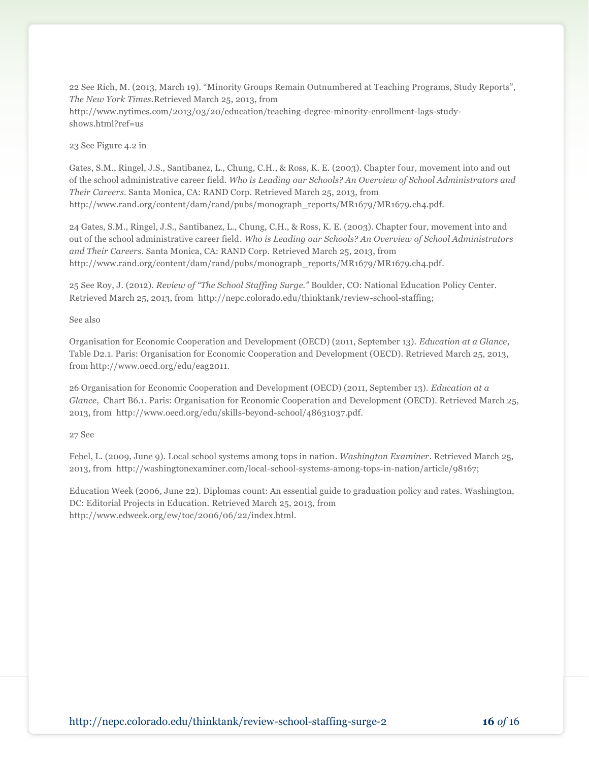22 See Rich, M. (2013, March 19). "Minority Groups Remain Outnumbered at Teaching Programs, Study Reports", *The New York Times*.Retrieved March 25, 2013, from http://www.nytimes.com/2013/03/20/education/teaching-degree-minority-enrollment-lags-studyshows.html?ref=us

23 See Figure 4.2 in

Gates, S.M., Ringel, J.S., Santibanez, L., Chung, C.H., & Ross, K. E. (2003). Chapter four, movement into and out of the school administrative career field. *Who is Leading our Schools? An Overview of School Administrators and Their Careers*. Santa Monica, CA: RAND Corp. Retrieved March 25, 2013, from http://www.rand.org/content/dam/rand/pubs/monograph\_reports/MR1679/MR1679.ch4.pdf.

24 Gates, S.M., Ringel, J.S., Santibanez, L., Chung, C.H., & Ross, K. E. (2003). Chapter four, movement into and out of the school administrative career field. *Who is Leading our Schools? An Overview of School Administrators and Their Careers*. Santa Monica, CA: RAND Corp. Retrieved March 25, 2013, from http://www.rand.org/content/dam/rand/pubs/monograph\_reports/MR1679/MR1679.ch4.pdf.

25 See Roy, J. (2012). *Review of "The School Staffing Surge."* Boulder, CO: National Education Policy Center. Retrieved March 25, 2013, from http://nepc.colorado.edu/thinktank/review-school-staffing;

See also

Organisation for Economic Cooperation and Development (OECD) (2011, September 13). *Education at a Glance*, Table D2.1. Paris: Organisation for Economic Cooperation and Development (OECD). Retrieved March 25, 2013, from http://www.oecd.org/edu/eag2011.

26 Organisation for Economic Cooperation and Development (OECD) (2011, September 13). *Education at a Glance*, Chart B6.1. Paris: Organisation for Economic Cooperation and Development (OECD). Retrieved March 25, 2013, from http://www.oecd.org/edu/skills-beyond-school/48631037.pdf.

27 See

Febel, L. (2009, June 9). Local school systems among tops in nation. *Washington Examiner*. Retrieved March 25, 2013, from http://washingtonexaminer.com/local-school-systems-among-tops-in-nation/article/98167;

Education Week (2006, June 22). Diplomas count: An essential guide to graduation policy and rates. Washington, DC: Editorial Projects in Education. Retrieved March 25, 2013, from http://www.edweek.org/ew/toc/2006/06/22/index.html.